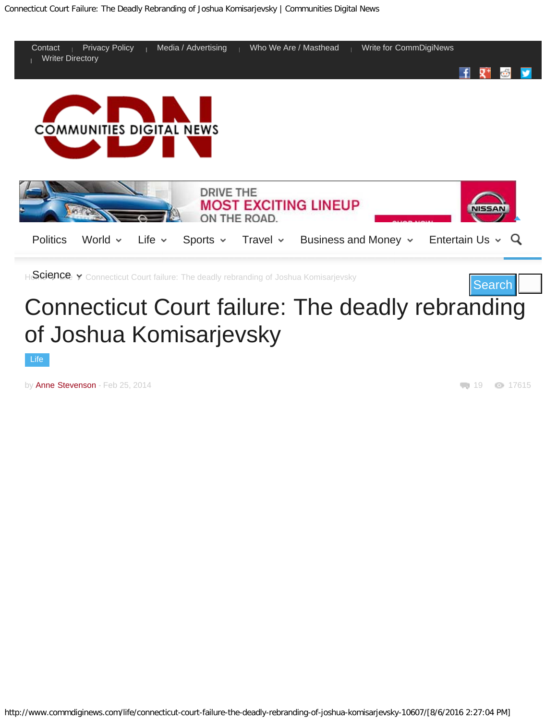

## Connecticut Court failure: The deadly rebranding of Joshua Komisarjevsky

[Life](http://www.commdiginews.com/category/life/)

by [Anne Stevenson](http://www.commdiginews.com/author/anne-stevenson/) - Feb 25, 2014

19 17615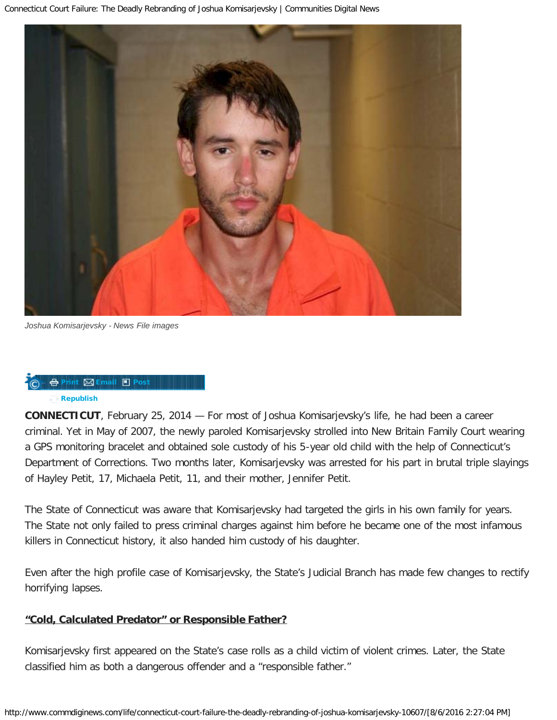

*Joshua Komisarjevsky - News File images*



**CONNECTICUT**, February 25, 2014 — For most of Joshua Komisarjevsky's life, he had been a career criminal. Yet in May of 2007, the newly paroled Komisarjevsky strolled into New Britain Family Court wearing a GPS monitoring bracelet and obtained sole custody of his 5-year old child with the help of Connecticut's Department of Corrections. Two months later, Komisarjevsky was arrested for his part in brutal triple slayings of Hayley Petit, 17, Michaela Petit, 11, and their mother, Jennifer Petit.

The State of Connecticut was aware that Komisarjevsky had targeted the girls in his own family for years. The State not only failed to press criminal charges against him before he became one of the most infamous killers in Connecticut history, it also handed him custody of his daughter.

Even after the high profile case of Komisarjevsky, the State's Judicial Branch has made few changes to rectify horrifying lapses.

#### **"Cold, Calculated Predator" or Responsible Father?**

Komisarjevsky first appeared on the State's case rolls as a child victim of violent crimes. Later, the State classified him as both a dangerous offender and a "responsible father."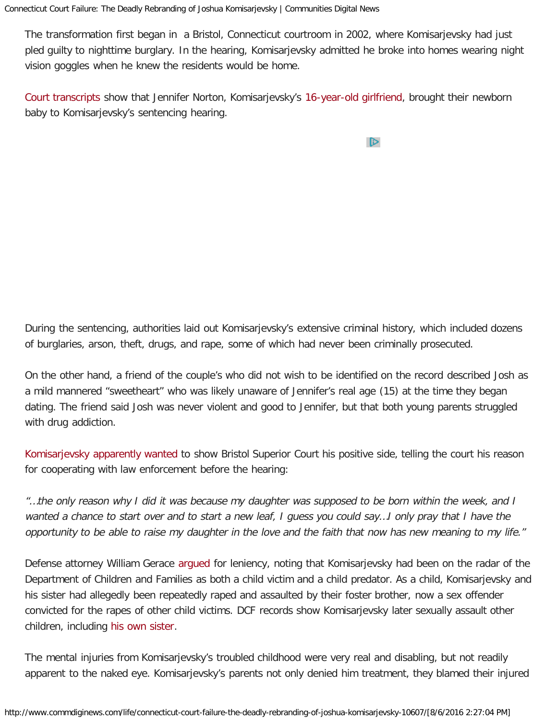The transformation first began in a Bristol, Connecticut courtroom in 2002, where Komisarjevsky had just pled guilty to nighttime burglary. In the hearing, Komisarjevsky admitted he broke into homes wearing night vision goggles when he knew the residents would be home.

[Court transcripts](http://www.cga.ct.gov/2007/JUDdata/Tmy/2007ZZ-00000-R000911-Joshua%20Komisarjevsky%20Sentencing%20Transcript-TMY.pdf) show that Jennifer Norton, Komisarjevsky's [16-year-old girlfriend,](http://www.thedailybeast.com/articles/2010/11/10/steven-hayes-death-sentence-inside-the-mind-of-a-monster.html) brought their newborn baby to Komisarjevsky's sentencing hearing.

 $\triangleright$ 

During the sentencing, authorities laid out Komisarjevsky's extensive criminal history, which included dozens of burglaries, arson, theft, drugs, and rape, some of which had never been criminally prosecuted.

On the other hand, a friend of the couple's who did not wish to be identified on the record described Josh as a mild mannered "sweetheart" who was likely unaware of Jennifer's real age (15) at the time they began dating. The friend said Josh was never violent and good to Jennifer, but that both young parents struggled with drug addiction.

[Komisarjevsky apparently wanted](http://www.cga.ct.gov/2007/JUDdata/Tmy/2007ZZ-00000-R000911-Joshua%20Komisarjevsky%20Sentencing%20Transcript-TMY.pdf) to show Bristol Superior Court his positive side, telling the court his reason for cooperating with law enforcement before the hearing:

"…the only reason why I did it was because my daughter was supposed to be born within the week, and I wanted a chance to start over and to start a new leaf, I guess you could say…I only pray that I have the opportunity to be able to raise my daughter in the love and the faith that now has new meaning to my life."

Defense attorney William Gerace [argued](http://www.cga.ct.gov/2007/JUDdata/Tmy/2007ZZ-00000-R000911-Joshua%20Komisarjevsky%20Sentencing%20Transcript-TMY.pdf) for leniency, noting that Komisarjevsky had been on the radar of the Department of Children and Families as both a child victim and a child predator. As a child, Komisarjevsky and his sister had allegedly been repeatedly raped and assaulted by their foster brother, now a sex offender convicted for the rapes of other child victims. DCF records show Komisarjevsky later sexually assault other children, including [his own sister.](http://articles.courant.com/2011-10-31/news/hc-komisarjevsky-penalty5-1101-20111031_1_benedict-komisarjevsky-jude-komisarjevsky-joshua-komisarjevsky)

The mental injuries from Komisarjevsky's troubled childhood were very real and disabling, but not readily apparent to the naked eye. Komisarjevsky's parents not only denied him treatment, they blamed their injured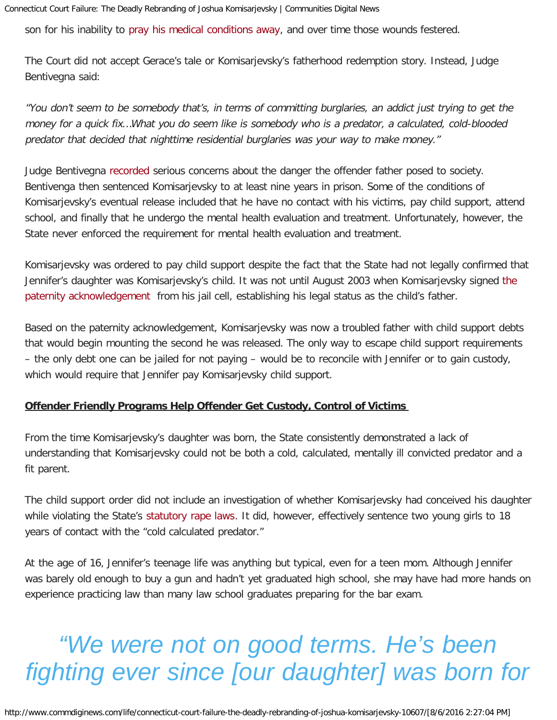son for his inability to [pray his medical conditions away,](http://articles.courant.com/2011-10-31/news/hc-komisarjevsky-penalty5-1101-20111031_1_benedict-komisarjevsky-jude-komisarjevsky-joshua-komisarjevsky/2) and over time those wounds festered.

The Court did not accept Gerace's tale or Komisarjevsky's fatherhood redemption story. Instead, Judge Bentivegna said:

"You don't seem to be somebody that's, in terms of committing burglaries, an addict just trying to get the money for a quick fix…What you do seem like is somebody who is a predator, a calculated, cold-blooded predator that decided that nighttime residential burglaries was your way to make money."

Judge Bentivegna [recorded](http://www.cga.ct.gov/2007/JUDdata/Tmy/2007ZZ-00000-R000911-Joshua%20Komisarjevsky%20Sentencing%20Transcript-TMY.pdf) serious concerns about the danger the offender father posed to society. Bentivenga then sentenced Komisarjevsky to at least nine years in prison. Some of the conditions of Komisarjevsky's eventual release included that he have no contact with his victims, pay child support, attend school, and finally that he undergo the mental health evaluation and treatment. Unfortunately, however, the State never enforced the requirement for mental health evaluation and treatment.

Komisarjevsky was ordered to pay child support despite the fact that the State had not legally confirmed that Jennifer's daughter was Komisarjevsky's child. It was not until August 2003 when Komisarjevsky signed [the](http://www.scribd.com/doc/194782665/Komisarjevsky-Paternity-Case-and-Parole-Records) [paternity acknowledgement](http://www.scribd.com/doc/194782665/Komisarjevsky-Paternity-Case-and-Parole-Records) from his jail cell, establishing his legal status as the child's father.

Based on the paternity acknowledgement, Komisarjevsky was now a troubled father with child support debts that would begin mounting the second he was released. The only way to escape child support requirements – the only debt one can be jailed for not paying – would be to reconcile with Jennifer or to gain custody, which would require that Jennifer pay Komisarjevsky child support.

#### **Offender Friendly Programs Help Offender Get Custody, Control of Victims**

From the time Komisarjevsky's daughter was born, the State consistently demonstrated a lack of understanding that Komisarjevsky could not be both a cold, calculated, mentally ill convicted predator and a fit parent.

The child support order did not include an investigation of whether Komisarjevsky had conceived his daughter while violating the State's [statutory rape laws.](http://www.jud.ct.gov/lawlib/law/rape.htm) It did, however, effectively sentence two young girls to 18 years of contact with the "cold calculated predator."

At the age of 16, Jennifer's teenage life was anything but typical, even for a teen mom. Although Jennifer was barely old enough to buy a gun and hadn't yet graduated high school, she may have had more hands on experience practicing law than many law school graduates preparing for the bar exam.

## *"We were not on good terms. He's been fighting ever since [our daughter] was born for*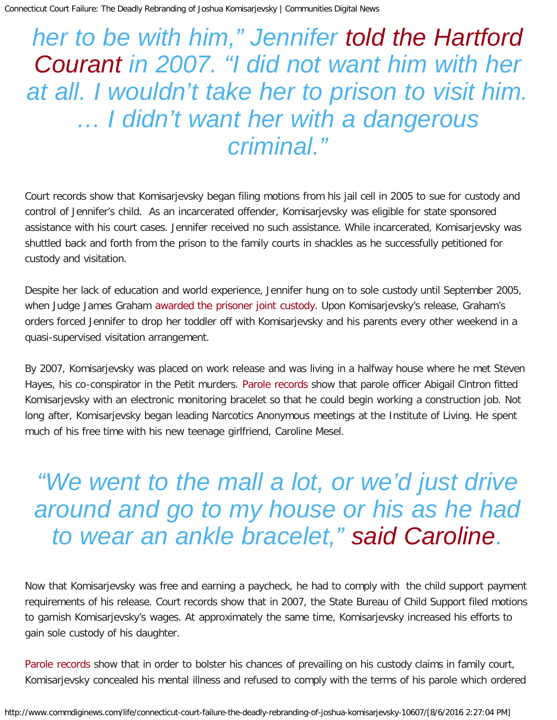## *her to be with him," Jennifer [told the Hartford](http://articles.courant.com/2007-07-27/news/0707270506_1_family-court-custody-child-support) [Courant](http://articles.courant.com/2007-07-27/news/0707270506_1_family-court-custody-child-support) in 2007. "I did not want him with her at all. I wouldn't take her to prison to visit him. … I didn't want her with a dangerous criminal."*

Court records show that Komisarjevsky began filing motions from his jail cell in 2005 to sue for custody and control of Jennifer's child. As an incarcerated offender, Komisarjevsky was eligible for state sponsored assistance with his court cases. Jennifer received no such assistance. While incarcerated, Komisarjevsky was shuttled back and forth from the prison to the family courts in shackles as he successfully petitioned for custody and visitation.

Despite her lack of education and world experience, Jennifer hung on to sole custody until September 2005, when Judge James Graham [awarded the prisoner joint custody.](http://articles.courant.com/2007-07-27/news/0707270506_1_family-court-custody-child-support) Upon Komisarjevsky's release, Graham's orders forced Jennifer to drop her toddler off with Komisarjevsky and his parents every other weekend in a quasi-supervised visitation arrangement.

By 2007, Komisarjevsky was placed on work release and was living in a halfway house where he met Steven Hayes, his co-conspirator in the Petit murders. [Parole records](http://www.scribd.com/doc/194782665/Komisarjevsky-Paternity-Case-and-Parole-Records) show that parole officer Abigail Cintron fitted Komisarjevsky with an electronic monitoring bracelet so that he could begin working a construction job. Not long after, Komisarjevsky began leading Narcotics Anonymous meetings at the Institute of Living. He spent much of his free time with his new teenage girlfriend, Caroline Mesel.

## *"We went to the mall a lot, or we'd just drive around and go to my house or his as he had to wear an ankle bracelet," [said Caroline.](http://radaronline.com/exclusives/2011/11/petit-family-killer-joshua-komisarjevsky-great-dad-ex-girlfriend/)*

Now that Komisarjevsky was free and earning a paycheck, he had to comply with the child support payment requirements of his release. Court records show that in 2007, the State Bureau of Child Support filed motions to garnish Komisarjevsky's wages. At approximately the same time, Komisarjevsky increased his efforts to gain sole custody of his daughter.

[Parole records](http://www.scribd.com/doc/194782665/Komisarjevsky-Paternity-Case-and-Parole-Records) show that in order to bolster his chances of prevailing on his custody claims in family court, Komisarjevsky concealed his mental illness and refused to comply with the terms of his parole which ordered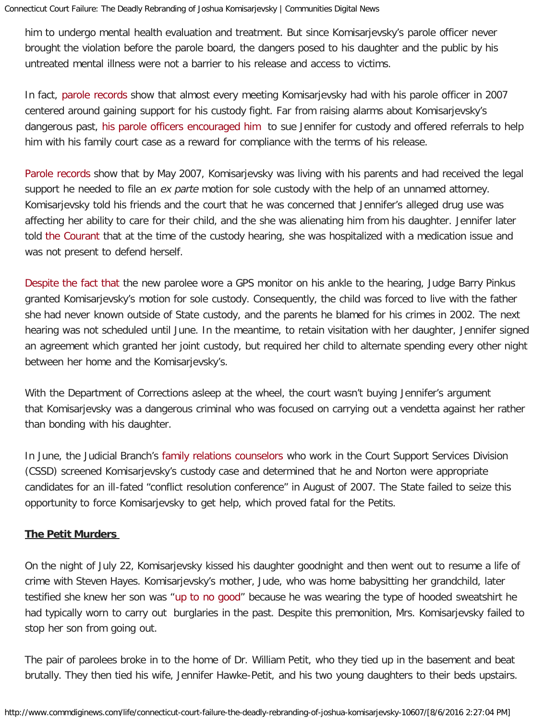him to undergo mental health evaluation and treatment. But since Komisarjevsky's parole officer never brought the violation before the parole board, the dangers posed to his daughter and the public by his untreated mental illness were not a barrier to his release and access to victims.

In fact, [parole records](http://www.scribd.com/doc/194782665/Komisarjevsky-Paternity-Case-and-Parole-Records) show that almost every meeting Komisarjevsky had with his parole officer in 2007 centered around gaining support for his custody fight. Far from raising alarms about Komisarjevsky's dangerous past, [his parole officers encouraged him](http://www.scribd.com/doc/194782665/Komisarjevsky-Paternity-Case-and-Parole-Records) to sue Jennifer for custody and offered referrals to help him with his family court case as a reward for compliance with the terms of his release.

[Parole records](http://www.scribd.com/doc/194782665/Komisarjevsky-Paternity-Case-and-Parole-Records) show that by May 2007, Komisarjevsky was living with his parents and had received the legal support he needed to file an ex parte motion for sole custody with the help of an unnamed attorney. Komisarjevsky told his friends and the court that he was concerned that Jennifer's alleged drug use was affecting her ability to care for their child, and the she was alienating him from his daughter. Jennifer later told [the Courant](http://articles.courant.com/2007-07-27/news/0707270506_1_family-court-custody-child-support) that at the time of the custody hearing, she was hospitalized with a medication issue and was not present to defend herself.

[Despite the fact that](http://articles.courant.com/2007-07-27/news/0707270506_1_family-court-custody-child-support) the new parolee wore a GPS monitor on his ankle to the hearing, Judge Barry Pinkus granted Komisarjevsky's motion for sole custody. Consequently, the child was forced to live with the father she had never known outside of State custody, and the parents he blamed for his crimes in 2002. The next hearing was not scheduled until June. In the meantime, to retain visitation with her daughter, Jennifer signed an agreement which granted her joint custody, but required her child to alternate spending every other night between her home and the Komisarjevsky's.

With the Department of Corrections asleep at the wheel, the court wasn't buying Jennifer's argument that Komisarjevsky was a dangerous criminal who was focused on carrying out a vendetta against her rather than bonding with his daughter.

In June, the Judicial Branch's [family relations counselors](http://articles.courant.com/2007-07-27/news/0707270506_1_family-court-custody-child-support) who work in the Court Support Services Division (CSSD) screened Komisarjevsky's custody case and determined that he and Norton were appropriate candidates for an ill-fated "conflict resolution conference" in August of 2007. The State failed to seize this opportunity to force Komisarjevsky to get help, which proved fatal for the Petits.

#### **The Petit Murders**

On the night of July 22, Komisarjevsky kissed his daughter goodnight and then went out to resume a life of crime with Steven Hayes. Komisarjevsky's mother, Jude, who was home babysitting her grandchild, later testified she knew her son was "[up to no good](http://articles.courant.com/2011-10-31/news/hc-komisarjevsky-penalty5-1101-20111031_1_benedict-komisarjevsky-jude-komisarjevsky-joshua-komisarjevsky/2)" because he was wearing the type of hooded sweatshirt he had typically worn to carry out burglaries in the past. Despite this premonition, Mrs. Komisarjevsky failed to stop her son from going out.

The pair of parolees broke in to the home of Dr. William Petit, who they tied up in the basement and beat brutally. They then tied his wife, Jennifer Hawke-Petit, and his two young daughters to their beds upstairs.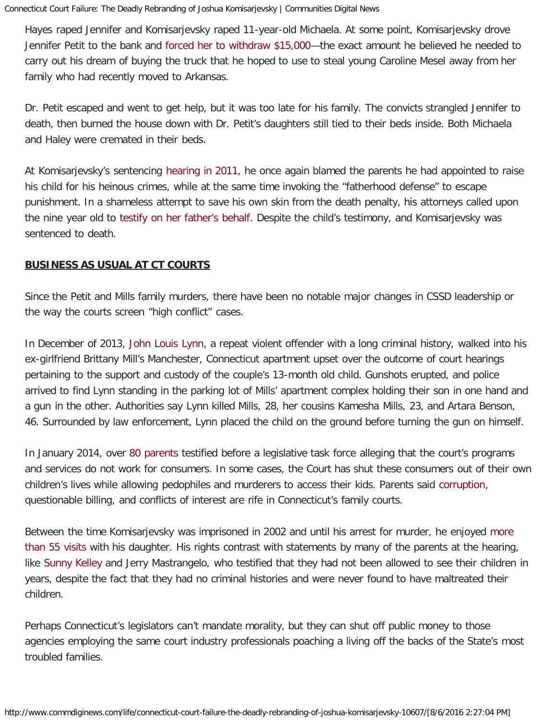Hayes raped Jennifer and Komisarjevsky raped 11-year-old Michaela. At some point, Komisarjevsky drove Jennifer Petit to the bank and [forced her to withdraw \\$15,000—](http://www.cbsnews.com/news/petit-family-murders-alleged-masterminds-ex-girlfriend-says-i-could-have-probably-prevented-it/)the exact amount he believed he needed to carry out his dream of buying the truck that he hoped to use to steal young Caroline Mesel away from her family who had recently moved to Arkansas.

Dr. Petit escaped and went to get help, but it was too late for his family. The convicts strangled Jennifer to death, then burned the house down with Dr. Petit's daughters still tied to their beds inside. Both Michaela and Haley were cremated in their beds.

At Komisarjevsky's sentencing [hearing in 2011,](http://abcnews.go.com/US/girl-testifies-save-dad-home-invasion-killer-joshua/story?id=15017721#.T1OdiJit_wg) he once again blamed the parents he had appointed to raise his child for his heinous crimes, while at the same time invoking the "fatherhood defense" to escape punishment. In a shameless attempt to save his own skin from the death penalty, his attorneys called upon the nine year old to [testify on her father's behalf.](http://abcnews.go.com/US/girl-testifies-save-dad-home-invasion-killer-joshua/story?id=15017721#.T1OdiJit_wg) Despite the child's testimony, and Komisarjevsky was sentenced to death.

#### **BUSINESS AS USUAL AT CT COURTS**

Since the Petit and Mills family murders, there have been no notable major changes in CSSD leadership or the way the courts screen "high conflict" cases.

In December of 2013, [John Louis Lynn,](http://articles.courant.com/2013-12-09/news/hc-manchester-triple-1210-20131209_1_child-support-manchester-police-officer-parking-lot) a repeat violent offender with a long criminal history, walked into his ex-girlfriend Brittany Mill's Manchester, Connecticut apartment upset over the outcome of court hearings pertaining to the support and custody of the couple's 13-month old child. Gunshots erupted, and police arrived to find Lynn standing in the parking lot of Mills' apartment complex holding their son in one hand and a gun in the other. Authorities say Lynn killed Mills, 28, her cousins Kamesha Mills, 23, and Artara Benson, 46. Surrounded by law enforcement, Lynn placed the child on the ground before turning the gun on himself.

In January 2014, over [80 parents t](http://www.commdiginews.com/life/dying-for-custody-part-1-doj-announces-investigation-into-connecticut-court-programs-4659/)estified before a legislative task force alleging that the court's programs and services do not work for consumers. In some cases, the Court has shut these consumers out of their own children's lives while allowing pedophiles and murderers to access their kids. Parents said [corruption,](http://www.commdiginews.com/life/ct-task-force-spars-with-parents-over-billing-fraud-in-family-court-6410/) questionable billing, and conflicts of interest are rife in Connecticut's family courts.

Between the time Komisarjevsky was imprisoned in 2002 and until his arrest for murder, he enjoyed [more](http://abcnews.go.com/US/girl-testifies-save-dad-home-invasion-killer-joshua/story?id=15017721#.T1OdiJit_wg) [than 55 visits](http://abcnews.go.com/US/girl-testifies-save-dad-home-invasion-killer-joshua/story?id=15017721#.T1OdiJit_wg) with his daughter. His rights contrast with statements by many of the parents at the hearing, like [Sunny Kelley](http://communities.washingtontimes.com/neighborhood/heart-without-compromise-children-and-children-wit/2013/feb/28/finding-ground-zero-connecticut-part-i/) and Jerry Mastrangelo, who testified that they had not been allowed to see their children in years, despite the fact that they had no criminal histories and were never found to have maltreated their children.

Perhaps Connecticut's legislators can't mandate morality, but they can shut off public money to those agencies employing the same court industry professionals poaching a living off the backs of the State's most troubled families.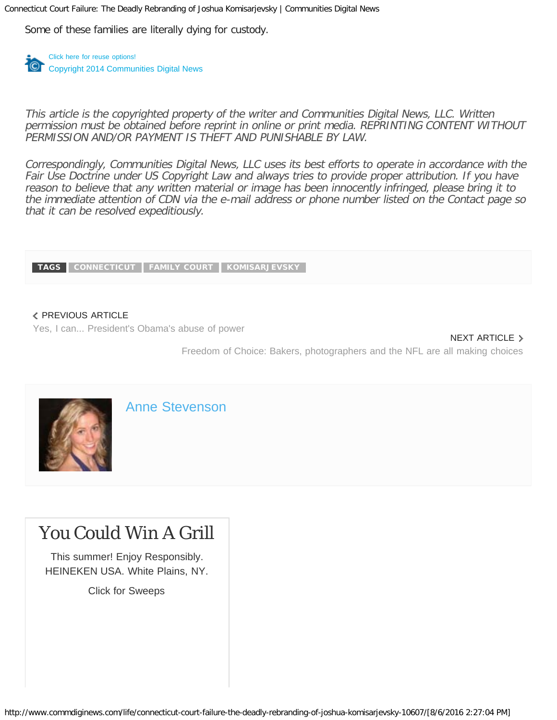Some of these families are literally dying for custody.

[Click here for reuse options!](http://license.icopyright.net/rights/tag.act?tag=3.17572?icx_id=10607) Copyright 2014 Communities Digital News

This article is the copyrighted property of the writer and Communities Digital News, LLC. Written permission must be obtained before reprint in online or print media. REPRINTING CONTENT WITHOUT PERMISSION AND/OR PAYMENT IS THEFT AND PUNISHABLE BY LAW.

Correspondingly, Communities Digital News, LLC uses its best efforts to operate in accordance with the Fair Use Doctrine under US Copyright Law and always tries to provide proper attribution. If you have reason to believe that any written material or image has been innocently infringed, please bring it to the immediate attention of CDN via the e-mail address or phone number listed on the Contact page so that it can be resolved expeditiously.

TAGS [CONNECTICUT](http://www.commdiginews.com/tag/connecticut/) [FAMILY COURT](http://www.commdiginews.com/tag/family-court/) [KOMISARJEVSKY](http://www.commdiginews.com/tag/komisarjevsky/)

#### PREVIOUS ARTICLE

[Yes, I can... President's Obama's abuse of power](http://www.commdiginews.com/politics-2/yes-i-can-presidents-obamas-putin-like-abuse-of-power-10606/)

#### NEXT ARTICLE >

[Freedom of Choice: Bakers, photographers and the NFL are all making choices](http://www.commdiginews.com/politics-2/freedom-of-choice-bakers-photographers-and-the-nfl-are-all-making-choices-10619/)



[Anne Stevenson](http://www.commdiginews.com/author/anne-stevenson/)

## [You Could Win A Grill](https://ads-adseast.yldbt.com/m/0fea/ad/click/?ri=irjigtoynnbqnffczh&lp_url=https%3A%2F%2Fad.doubleclick.net%2Fddm%2Fclk%2F304562231%3B131857502%3Bt)

[This summer! Enjoy Responsibly.](https://ads-adseast.yldbt.com/m/0fea/ad/click/?ri=irjigtoynnbqnffczh&lp_url=https%3A%2F%2Fad.doubleclick.net%2Fddm%2Fclk%2F304562231%3B131857502%3Bt) [HEINEKEN USA. White Plains, NY.](https://ads-adseast.yldbt.com/m/0fea/ad/click/?ri=irjigtoynnbqnffczh&lp_url=https%3A%2F%2Fad.doubleclick.net%2Fddm%2Fclk%2F304562231%3B131857502%3Bt)

[Click for Sweeps](https://ads-adseast.yldbt.com/m/0fea/ad/click/?ri=irjigtoynnbqnffczh&lp_url=https%3A%2F%2Fad.doubleclick.net%2Fddm%2Fclk%2F304562231%3B131857502%3Bt)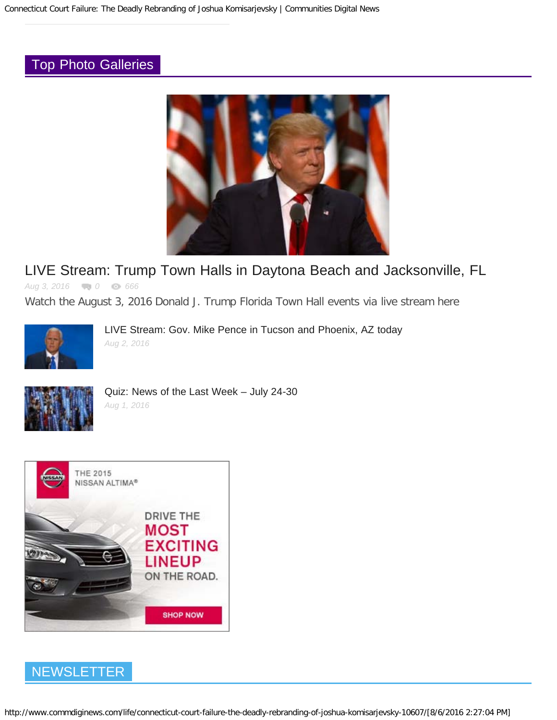### [Top Photo Galleries](http://www.commdiginews.com/category/photo-galleries/)



### [LIVE Stream: Trump Town Halls in Daytona Beach and Jacksonville, FL](http://www.commdiginews.com/politics-2/live-stream-trump-town-halls-in-daytona-beach-and-jacksonville-fl-68847/)

*Aug 3, 2016 0 666*

Watch the August 3, 2016 Donald J. Trump Florida Town Hall events via live stream here



[LIVE Stream: Gov. Mike Pence in Tucson and Phoenix, AZ today](http://www.commdiginews.com/photo-galleries/live-stream-gov-mike-pence-in-tucson-and-phoenix-az-today-68848/) *Aug 2, 2016*



[Quiz: News of the Last Week – July 24-30](http://www.commdiginews.com/photo-galleries/quiz-news-of-the-last-week-july-24-30-68789/) *Aug 1, 2016*



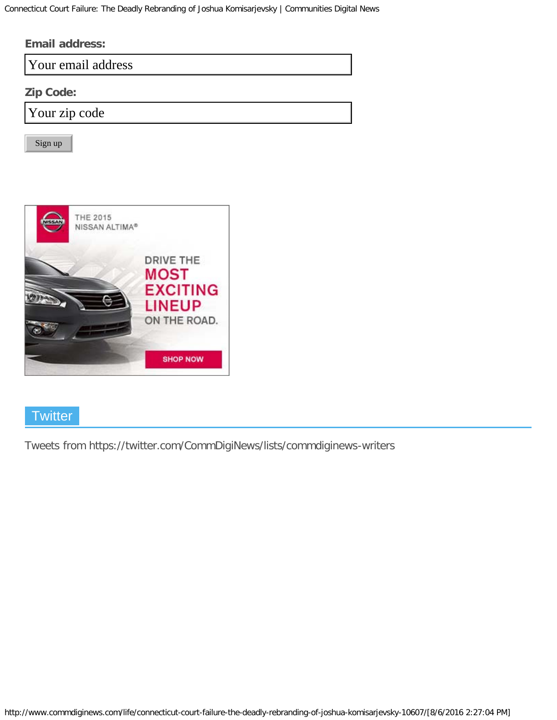| <b>Email address:</b> |  |  |  |  |
|-----------------------|--|--|--|--|
| Your email address    |  |  |  |  |
| <b>Zip Code:</b>      |  |  |  |  |
| Your zip code         |  |  |  |  |
| Sign up               |  |  |  |  |



### **Twitter**

[Tweets from https://twitter.com/CommDigiNews/lists/commdiginews-writers](https://twitter.com/CommDigiNews/lists/commdiginews-writers)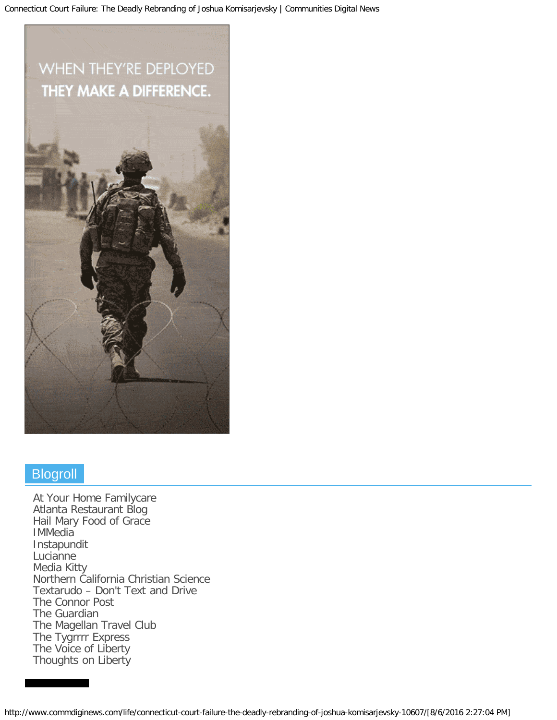# WHEN THEY'RE DEPLOYED THEY MAKE A DIFFERENCE.



### **Blogroll**

[At Your Home Familycare](http://www.atyourhomefamilycare.com/) [Atlanta Restaurant Blog](http://atlanta-restaurantblog.com/) [Hail Mary Food of Grace](http://www.marypaynemoran.com/) **[IMMedia](http://immediapr.com/)** [Instapundit](http://pjmedia.com/instapundit/) **[Lucianne](http://www.lucianne.com/)** [Media Kitty](http://mediakitty.com/) [Northern California Christian Science](http://www.norcalcs.org/) [Textarudo – Don't Text and Drive](http://www.textarudo.com/) [The Connor Post](http://connorpost.com/) [The Guardian](http://www.theguardian.com/) [The Magellan Travel Club](http://www.magellantravelclub.com/) [The Tygrrrr Express](http://tygrrrrexpress.com/) [The Voice of Liberty](http://www.thevoiceofliberty.us/) [Thoughts on Liberty](http://www.thoughtsonliberty.com/)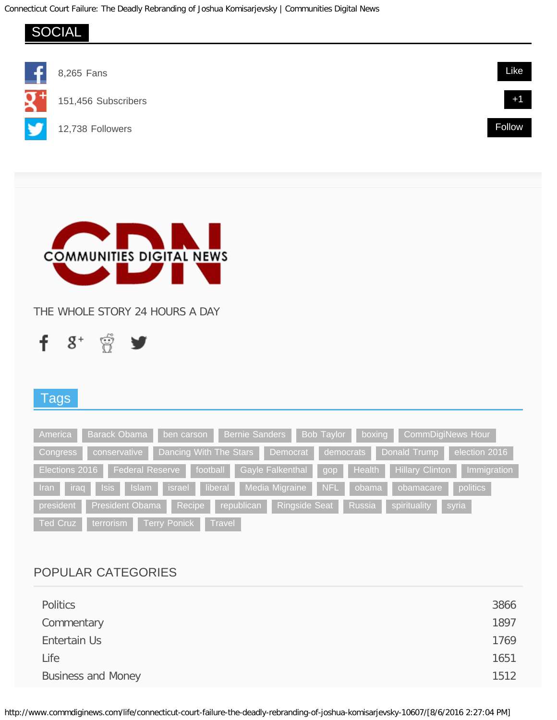

| Entertain Us              | 1769 |
|---------------------------|------|
| Life                      | 1651 |
| <b>Business and Money</b> | 1512 |
|                           |      |

http://www.commdiginews.com/life/connecticut-court-failure-the-deadly-rebranding-of-joshua-komisarjevsky-10607/[8/6/2016 2:27:04 PM]